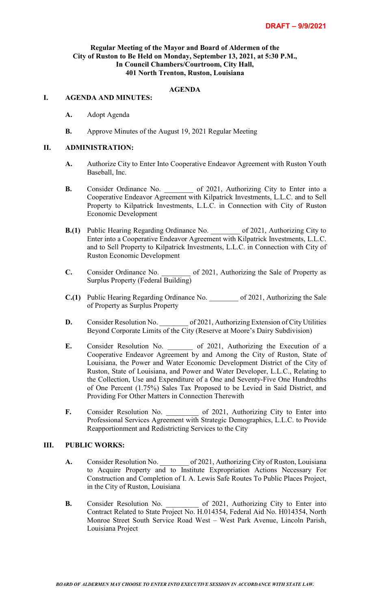## **Regular Meeting of the Mayor and Board of Aldermen of the City of Ruston to Be Held on Monday, September 13, 2021, at 5:30 P.M., In Council Chambers/Courtroom, City Hall, 401 North Trenton, Ruston, Louisiana**

# **AGENDA**

#### **I. AGENDA AND MINUTES:**

- **A.** Adopt Agenda
- **B.** Approve Minutes of the August 19, 2021 Regular Meeting

#### **II. ADMINISTRATION:**

- **A.** Authorize City to Enter Into Cooperative Endeavor Agreement with Ruston Youth Baseball, Inc.
- **B.** Consider Ordinance No.  $\qquad \qquad$  of 2021, Authorizing City to Enter into a Cooperative Endeavor Agreement with Kilpatrick Investments, L.L.C. and to Sell Property to Kilpatrick Investments, L.L.C. in Connection with City of Ruston Economic Development
- **B.(1)** Public Hearing Regarding Ordinance No.  $\qquad \qquad$  of 2021, Authorizing City to Enter into a Cooperative Endeavor Agreement with Kilpatrick Investments, L.L.C. and to Sell Property to Kilpatrick Investments, L.L.C. in Connection with City of Ruston Economic Development
- **C.** Consider Ordinance No. \_\_\_\_\_\_\_\_ of 2021, Authorizing the Sale of Property as Surplus Property (Federal Building)
- **C.(1)** Public Hearing Regarding Ordinance No.  $\qquad \qquad$  of 2021, Authorizing the Sale of Property as Surplus Property
- **D.** Consider Resolution No.  $\qquad \qquad$  of 2021, Authorizing Extension of City Utilities Beyond Corporate Limits of the City (Reserve at Moore's Dairy Subdivision)
- E. Consider Resolution No. 6 of 2021, Authorizing the Execution of a Cooperative Endeavor Agreement by and Among the City of Ruston, State of Louisiana, the Power and Water Economic Development District of the City of Ruston, State of Louisiana, and Power and Water Developer, L.L.C., Relating to the Collection, Use and Expenditure of a One and Seventy-Five One Hundredths of One Percent (1.75%) Sales Tax Proposed to be Levied in Said District, and Providing For Other Matters in Connection Therewith
- **F.** Consider Resolution No.  $\qquad \qquad$  of 2021, Authorizing City to Enter into Professional Services Agreement with Strategic Demographics, L.L.C. to Provide Reapportionment and Redistricting Services to the City

# **III. PUBLIC WORKS:**

- A. Consider Resolution No.  $\qquad \qquad$  of 2021, Authorizing City of Ruston, Louisiana to Acquire Property and to Institute Expropriation Actions Necessary For Construction and Completion of I. A. Lewis Safe Routes To Public Places Project, in the City of Ruston, Louisiana
- **B.** Consider Resolution No. \_\_\_\_\_\_ of 2021, Authorizing City to Enter into Contract Related to State Project No. H.014354, Federal Aid No. H014354, North Monroe Street South Service Road West – West Park Avenue, Lincoln Parish, Louisiana Project